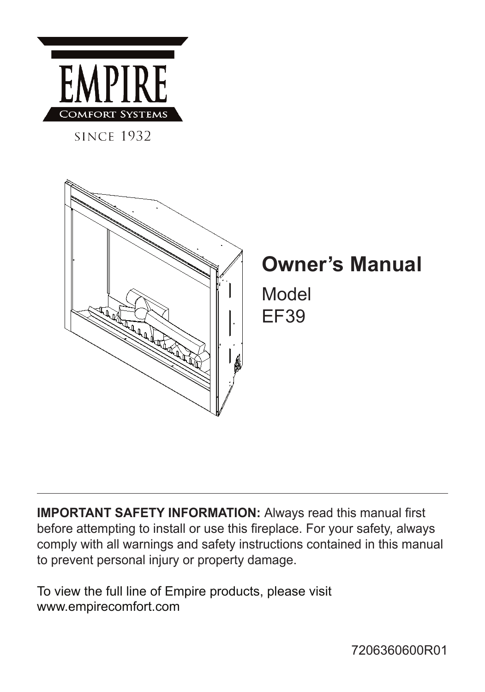

**SINCE 1932** 



# **Owner's Manual**

Model EF39

**IMPORTANT SAFETY INFORMATION:** Always read this manual first before attempting to install or use this fireplace. For your safety, always comply with all warnings and safety instructions contained in this manual to prevent personal injury or property damage.

To view the full line of Empire products, please visit www.empirecomfort.com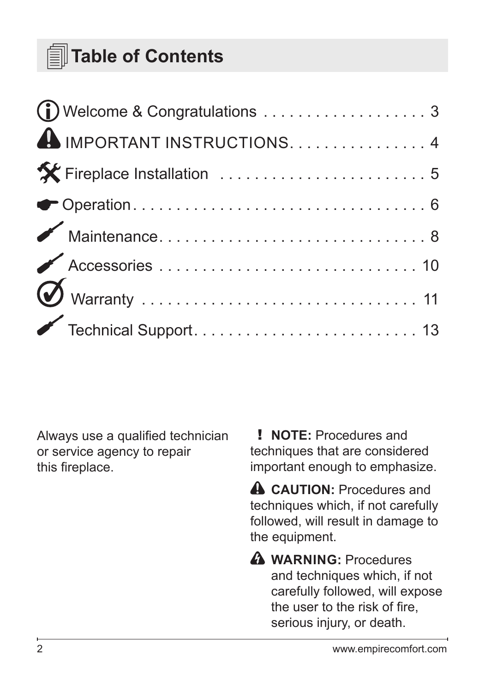# **Table of Contents**

| Welcome & Congratulations 3                                                           |  |
|---------------------------------------------------------------------------------------|--|
| IMPORTANT INSTRUCTIONS. 4                                                             |  |
|                                                                                       |  |
|                                                                                       |  |
| $\begin{minipage}{.4\linewidth} \textbf{Maintename.}\hspace{0.05in} . \end{minipage}$ |  |
|                                                                                       |  |
|                                                                                       |  |
|                                                                                       |  |

Always use a qualified technician or service agency to repair this fireplace.

! **NOTE:** Procedures and techniques that are considered important enough to emphasize.

**A** CAUTION: Procedures and techniques which, if not carefully followed, will result in damage to the equipment.

**WARNING:** Procedures and techniques which, if not carefully followed, will expose the user to the risk of fire, serious injury, or death.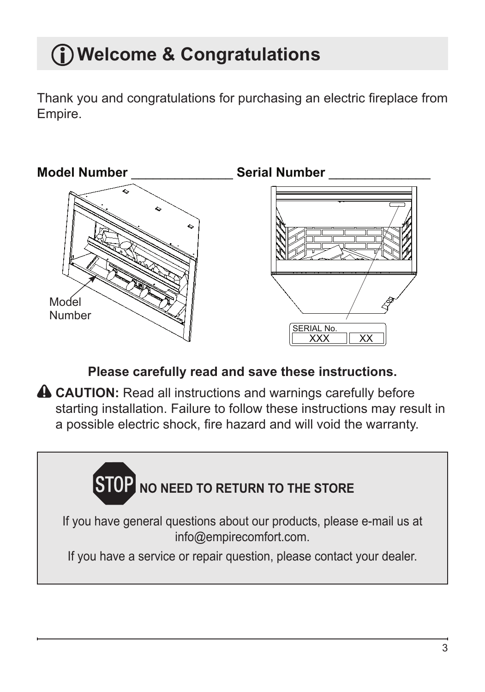# <span id="page-2-0"></span>**Welcome & Congratulations**

Thank you and congratulations for purchasing an electric fireplace from Empire.



**Please carefully read and save these instructions.**

**A CAUTION:** Read all instructions and warnings carefully before starting installation. Failure to follow these instructions may result in a possible electric shock, fire hazard and will void the warranty.

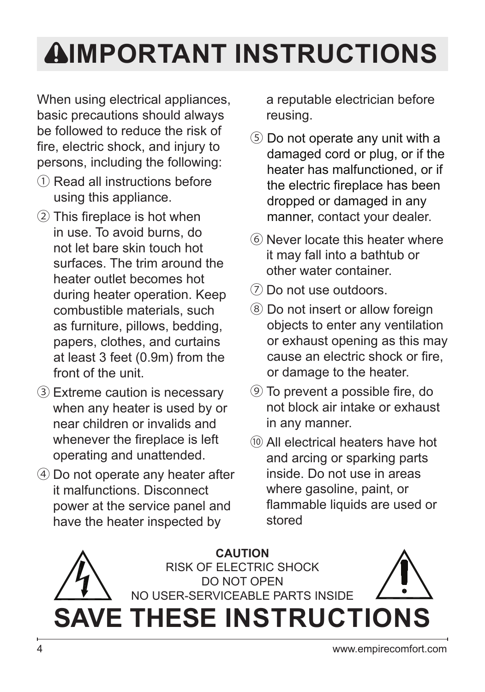# <span id="page-3-0"></span>**IMPORTANT INSTRUCTIONS**

When using electrical appliances, basic precautions should always be followed to reduce the risk of fire, electric shock, and injury to persons, including the following:

- ① Read all instructions before using this appliance.
- ② This fireplace is hot when in use. To avoid burns, do not let bare skin touch hot surfaces. The trim around the heater outlet becomes hot during heater operation. Keep combustible materials, such as furniture, pillows, bedding, papers, clothes, and curtains at least 3 feet (0.9m) from the front of the unit.
- ③ Extreme caution is necessary when any heater is used by or near children or invalids and whenever the fireplace is left operating and unattended.
- ④ Do not operate any heater after it malfunctions. Disconnect power at the service panel and have the heater inspected by

a reputable electrician before reusing.

- ⑤ Do not operate any unit with a damaged cord or plug, or if the heater has malfunctioned, or if the electric fireplace has been dropped or damaged in any manner, contact your dealer.
- ⑥ Never locate this heater where it may fall into a bathtub or other water container.
- ⑦ Do not use outdoors.
- ⑧ Do not insert or allow foreign objects to enter any ventilation or exhaust opening as this may cause an electric shock or fire, or damage to the heater.
- ⑨ To prevent a possible fire, do not block air intake or exhaust in any manner.
- ⑩ All electrical heaters have hot and arcing or sparking parts inside. Do not use in areas where gasoline, paint, or flammable liquids are used or stored

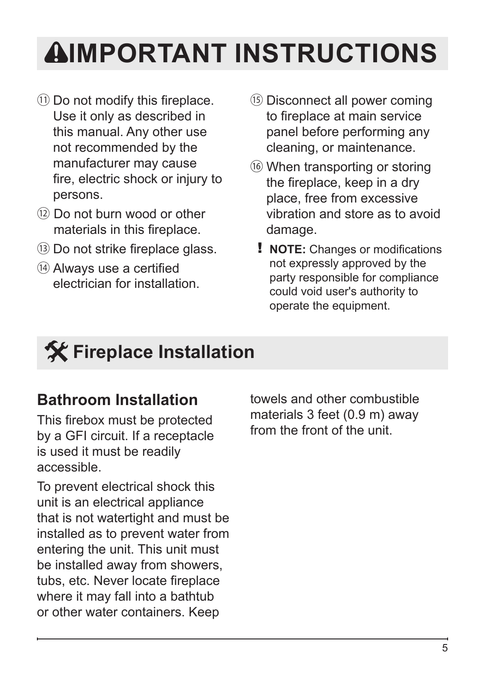# <span id="page-4-0"></span>**IMPORTANT INSTRUCTIONS**

- ⑪ Do not modify this fireplace. Use it only as described in this manual. Any other use not recommended by the manufacturer may cause fire, electric shock or injury to persons.
- ⑫ Do not burn wood or other materials in this fireplace.
- ⑬ Do not strike fireplace glass.
- ⑭ Always use a certified electrician for installation.
- ⑮ Disconnect all power coming to fireplace at main service panel before performing any cleaning, or maintenance.
- ⑯ When transporting or storing the fireplace, keep in a dry place, free from excessive vibration and store as to avoid damage.
	- ! **NOTE:** Changes or modifications not expressly approved by the party responsible for compliance could void user's authority to operate the equipment.

# **Fireplace Installation**

# **Bathroom Installation**

This firebox must be protected by a GFI circuit. If a receptacle is used it must be readily accessible.

To prevent electrical shock this unit is an electrical appliance that is not watertight and must be installed as to prevent water from entering the unit. This unit must be installed away from showers, tubs, etc. Never locate fireplace where it may fall into a bathtub or other water containers. Keep

towels and other combustible materials 3 feet (0.9 m) away from the front of the unit.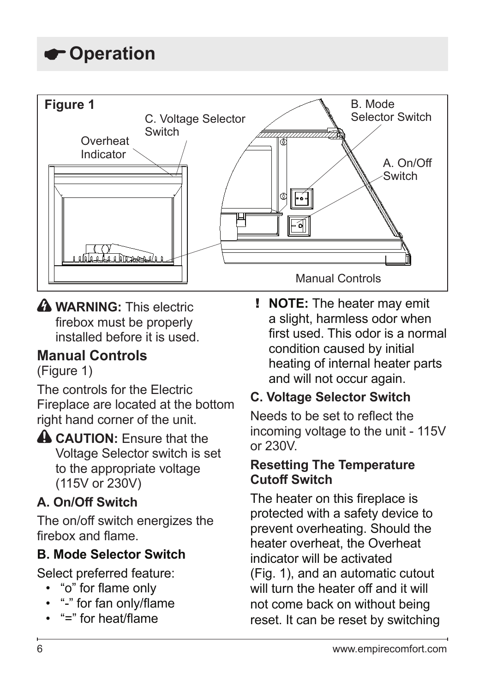# <span id="page-5-0"></span>**Operation**



**A WARNING:** This electric firebox must be properly installed before it is used.

## **Manual Controls**

(Figure 1)

The controls for the Electric Fireplace are located at the bottom right hand corner of the unit.

**CAUTION:** Ensure that the Voltage Selector switch is set to the appropriate voltage (115V or 230V)

## **A. On/Off Switch**

The on/off switch energizes the firebox and flame.

## **B. Mode Selector Switch**

Select preferred feature:

- "o" for flame only
- "-" for fan only/flame
- "=" for heat/flame

! **NOTE:** The heater may emit a slight, harmless odor when first used. This odor is a normal condition caused by initial heating of internal heater parts and will not occur again.

## **C. Voltage Selector Switch**

Needs to be set to reflect the incoming voltage to the unit - 115V or 230V.

### **Resetting The Temperature Cutoff Switch**

The heater on this fireplace is protected with a safety device to prevent overheating. Should the heater overheat, the Overheat indicator will be activated (Fig. 1), and an automatic cutout will turn the heater off and it will not come back on without being reset. It can be reset by switching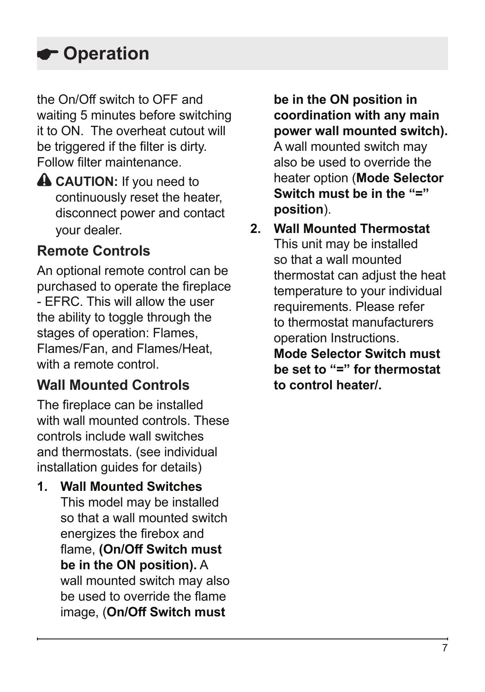# **Operation**

the On/Off switch to OFF and waiting 5 minutes before switching it to ON. The overheat cutout will be triggered if the filter is dirty. Follow filter maintenance.

**A CAUTION:** If you need to continuously reset the heater, disconnect power and contact your dealer.

# **Remote Controls**

An optional remote control can be purchased to operate the fireplace - EFRC. This will allow the user the ability to toggle through the stages of operation: Flames, Flames/Fan, and Flames/Heat, with a remote control.

## **Wall Mounted Controls**

The fireplace can be installed with wall mounted controls. These controls include wall switches and thermostats. (see individual installation guides for details)

**1. Wall Mounted Switches** This model may be installed so that a wall mounted switch energizes the firebox and flame, **(On/Off Switch must be in the ON position).** A wall mounted switch may also be used to override the flame image, (**On/Off Switch must** 

**be in the ON position in coordination with any main power wall mounted switch).**  A wall mounted switch may also be used to override the heater option (**Mode Selector Switch must be in the "=" position**).

**2. Wall Mounted Thermostat** This unit may be installed so that a wall mounted thermostat can adjust the heat temperature to your individual requirements. Please refer to thermostat manufacturers operation Instructions. **Mode Selector Switch must be set to "=" for thermostat to control heater/.**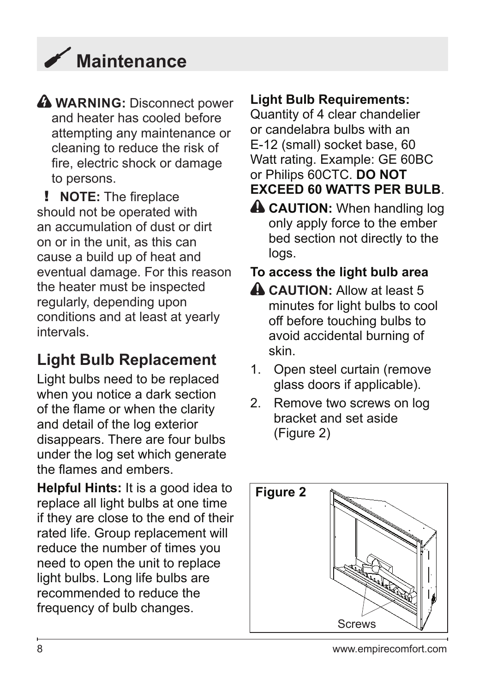# <span id="page-7-0"></span> **Maintenance**

**A WARNING:** Disconnect power and heater has cooled before attempting any maintenance or cleaning to reduce the risk of fire, electric shock or damage to persons.

! **NOTE:** The fireplace should not be operated with an accumulation of dust or dirt on or in the unit, as this can cause a build up of heat and eventual damage. For this reason the heater must be inspected regularly, depending upon conditions and at least at yearly intervals.

# **Light Bulb Replacement**

Light bulbs need to be replaced when you notice a dark section of the flame or when the clarity and detail of the log exterior disappears. There are four bulbs under the log set which generate the flames and embers.

**Helpful Hints:** It is a good idea to replace all light bulbs at one time if they are close to the end of their rated life. Group replacement will reduce the number of times you need to open the unit to replace light bulbs. Long life bulbs are recommended to reduce the frequency of bulb changes.

## **Light Bulb Requirements:**

Quantity of 4 clear chandelier or candelabra bulbs with an E-12 (small) socket base, 60 Watt rating. Example: GE 60BC or Philips 60CTC. **DO NOT EXCEED 60 WATTS PER BULB**.

**A CAUTION:** When handling log only apply force to the ember bed section not directly to the logs.

## **To access the light bulb area**

- **A CAUTION:** Allow at least 5 minutes for light bulbs to cool off before touching bulbs to avoid accidental burning of skin.
- 1. Open steel curtain (remove glass doors if applicable).
- 2. Remove two screws on log bracket and set aside (Figure 2)

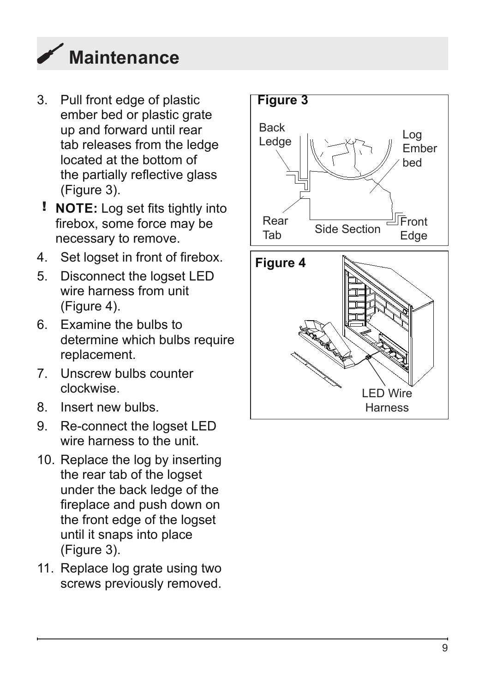

- 3. Pull front edge of plastic ember bed or plastic grate up and forward until rear tab releases from the ledge located at the bottom of the partially reflective glass (Figure 3).
- ! **NOTE:** Log set fits tightly into firebox, some force may be necessary to remove.
- 4. Set logset in front of firebox.
- 5. Disconnect the logset LED wire harness from unit (Figure 4).
- 6. Examine the bulbs to determine which bulbs require replacement.
- 7. Unscrew bulbs counter clockwise.
- 8. Insert new bulbs.
- 9. Re-connect the logset LED wire harness to the unit.
- 10. Replace the log by inserting the rear tab of the logset under the back ledge of the fireplace and push down on the front edge of the logset until it snaps into place (Figure 3).
- 11. Replace log grate using two screws previously removed.

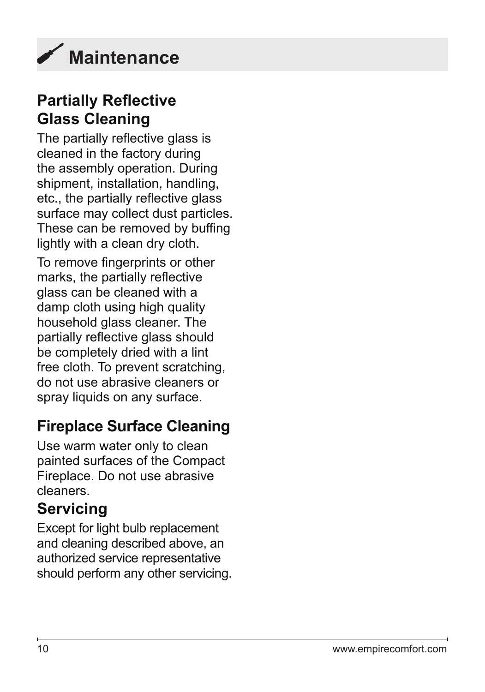<span id="page-9-0"></span>

## **Partially Reflective Glass Cleaning**

The partially reflective glass is cleaned in the factory during the assembly operation. During shipment, installation, handling, etc., the partially reflective glass surface may collect dust particles. These can be removed by buffing lightly with a clean dry cloth.

To remove fingerprints or other marks, the partially reflective glass can be cleaned with a damp cloth using high quality household glass cleaner. The partially reflective glass should be completely dried with a lint free cloth. To prevent scratching, do not use abrasive cleaners or spray liquids on any surface.

# **Fireplace Surface Cleaning**

Use warm water only to clean painted surfaces of the Compact Fireplace. Do not use abrasive cleaners.

## **Servicing**

Except for light bulb replacement and cleaning described above, an authorized service representative should perform any other servicing.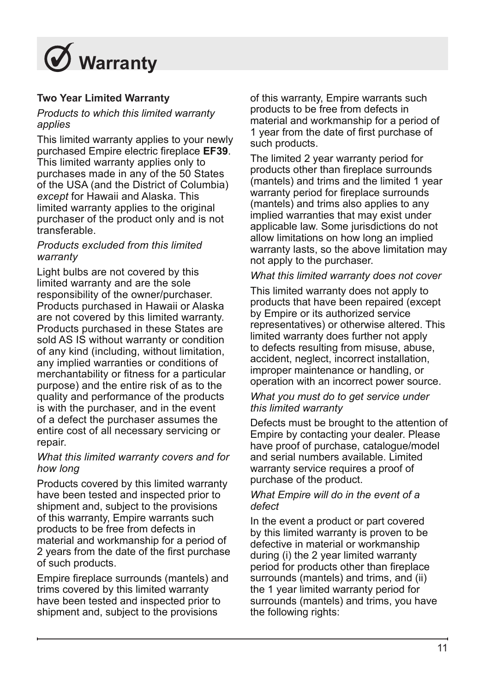<span id="page-10-0"></span>

### **Two Year Limited Warranty**

### *Products to which this limited warranty applies*

This limited warranty applies to your newly purchased Empire electric fireplace **EF39**. This limited warranty applies only to purchases made in any of the 50 States of the USA (and the District of Columbia) *except* for Hawaii and Alaska. This limited warranty applies to the original purchaser of the product only and is not transferable.

#### *Products excluded from this limited warranty*

Light bulbs are not covered by this limited warranty and are the sole responsibility of the owner/purchaser. Products purchased in Hawaii or Alaska are not covered by this limited warranty. Products purchased in these States are sold AS IS without warranty or condition of any kind (including, without limitation, any implied warranties or conditions of merchantability or fitness for a particular purpose) and the entire risk of as to the quality and performance of the products is with the purchaser, and in the event of a defect the purchaser assumes the entire cost of all necessary servicing or repair.

#### *What this limited warranty covers and for how long*

Products covered by this limited warranty have been tested and inspected prior to shipment and, subject to the provisions of this warranty, Empire warrants such products to be free from defects in material and workmanship for a period of 2 years from the date of the first purchase of such products.

Empire fireplace surrounds (mantels) and trims covered by this limited warranty have been tested and inspected prior to shipment and, subject to the provisions

of this warranty, Empire warrants such products to be free from defects in material and workmanship for a period of 1 year from the date of first purchase of such products.

The limited 2 year warranty period for products other than fireplace surrounds (mantels) and trims and the limited 1 year warranty period for fireplace surrounds (mantels) and trims also applies to any implied warranties that may exist under applicable law. Some jurisdictions do not allow limitations on how long an implied warranty lasts, so the above limitation may not apply to the purchaser.

### *What this limited warranty does not cover*

This limited warranty does not apply to products that have been repaired (except by Empire or its authorized service representatives) or otherwise altered. This limited warranty does further not apply to defects resulting from misuse, abuse, accident, neglect, incorrect installation, improper maintenance or handling, or operation with an incorrect power source.

#### *What you must do to get service under this limited warranty*

Defects must be brought to the attention of Empire by contacting your dealer. Please have proof of purchase, catalogue/model and serial numbers available. Limited warranty service requires a proof of purchase of the product.

#### *What Empire will do in the event of a defect*

In the event a product or part covered by this limited warranty is proven to be defective in material or workmanship during (i) the 2 year limited warranty period for products other than fireplace surrounds (mantels) and trims, and (ii) the 1 year limited warranty period for surrounds (mantels) and trims, you have the following rights: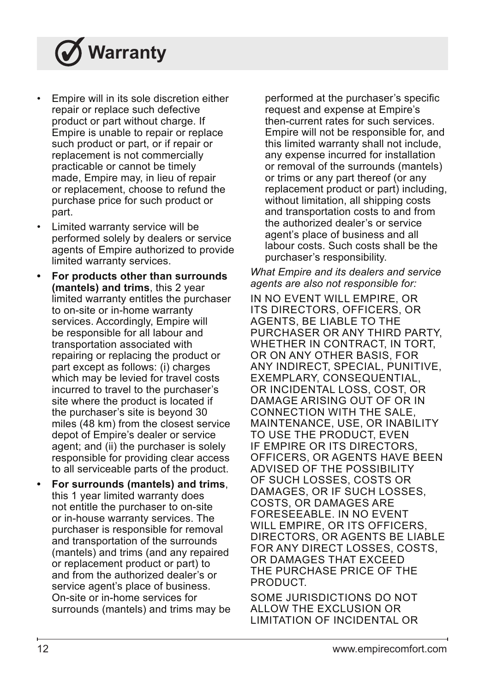# **Warranty**

- Empire will in its sole discretion either repair or replace such defective product or part without charge. If Empire is unable to repair or replace such product or part, or if repair or replacement is not commercially practicable or cannot be timely made, Empire may, in lieu of repair or replacement, choose to refund the purchase price for such product or part.
- Limited warranty service will be performed solely by dealers or service agents of Empire authorized to provide limited warranty services.
- **• For products other than surrounds (mantels) and trims**, this 2 year limited warranty entitles the purchaser to on-site or in-home warranty services. Accordingly, Empire will be responsible for all labour and transportation associated with repairing or replacing the product or part except as follows: (i) charges which may be levied for travel costs incurred to travel to the purchaser's site where the product is located if the purchaser's site is beyond 30 miles (48 km) from the closest service depot of Empire's dealer or service agent; and (ii) the purchaser is solely responsible for providing clear access to all serviceable parts of the product.
- **• For surrounds (mantels) and trims**, this 1 year limited warranty does not entitle the purchaser to on-site or in-house warranty services. The purchaser is responsible for removal and transportation of the surrounds (mantels) and trims (and any repaired or replacement product or part) to and from the authorized dealer's or service agent's place of business. On-site or in-home services for surrounds (mantels) and trims may be

performed at the purchaser's specific request and expense at Empire's then-current rates for such services. Empire will not be responsible for, and this limited warranty shall not include, any expense incurred for installation or removal of the surrounds (mantels) or trims or any part thereof (or any replacement product or part) including, without limitation, all shipping costs and transportation costs to and from the authorized dealer's or service agent's place of business and all labour costs. Such costs shall be the purchaser's responsibility.

#### *What Empire and its dealers and service agents are also not responsible for:*

IN NO EVENT WILL EMPIRE, OR ITS DIRECTORS, OFFICERS, OR AGENTS, BE LIABLE TO THE PURCHASER OR ANY THIRD PARTY, WHETHER IN CONTRACT, IN TORT, OR ON ANY OTHER BASIS, FOR ANY INDIRECT, SPECIAL, PUNITIVE, EXEMPLARY, CONSEQUENTIAL, OR INCIDENTAL LOSS, COST, OR DAMAGE ARISING OUT OF OR IN CONNECTION WITH THE SALE, MAINTENANCE, USE, OR INABILITY TO USE THE PRODUCT, EVEN IF EMPIRE OR ITS DIRECTORS, OFFICERS, OR AGENTS HAVE BEEN ADVISED OF THE POSSIBILITY OF SUCH LOSSES, COSTS OR DAMAGES, OR IF SUCH LOSSES, COSTS, OR DAMAGES ARE FORESEEABLE. IN NO EVENT WILL EMPIRE, OR ITS OFFICERS, DIRECTORS, OR AGENTS BE LIABLE FOR ANY DIRECT LOSSES, COSTS, OR DAMAGES THAT EXCEED THE PURCHASE PRICE OF THE PRODUCT.

SOME JURISDICTIONS DO NOT ALLOW THE EXCLUSION OR LIMITATION OF INCIDENTAL OR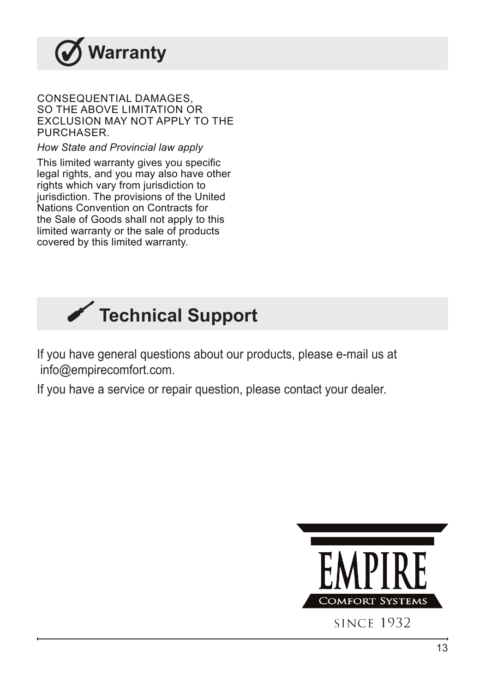<span id="page-12-0"></span>

### CONSEQUENTIAL DAMAGES, SO THE ABOVE LIMITATION OR EXCLUSION MAY NOT APPLY TO THE **PURCHASER.**

*How State and Provincial law apply*

This limited warranty gives you specific legal rights, and you may also have other rights which vary from jurisdiction to jurisdiction. The provisions of the United Nations Convention on Contracts for the Sale of Goods shall not apply to this limited warranty or the sale of products covered by this limited warranty.



If you have general questions about our products, please e-mail us at info@empirecomfort.com.

If you have a service or repair question, please contact your dealer.

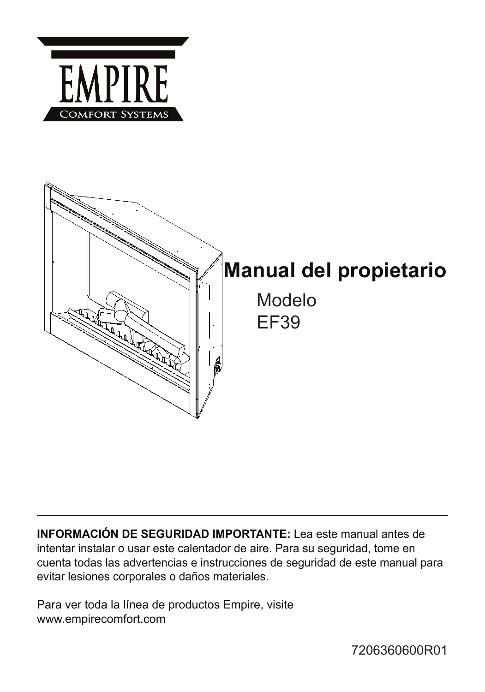

**INFORMACIÓN DE SEGURIDAD IMPORTANTE:** Lea este manual antes de intentar instalar o usar este calentador de aire. Para su seguridad, tome en cuenta todas las advertencias e instrucciones de seguridad de este manual para evitar lesiones corporales o daños materiales.

Para ver toda la línea de productos Empire, visite www.empirecomfort.com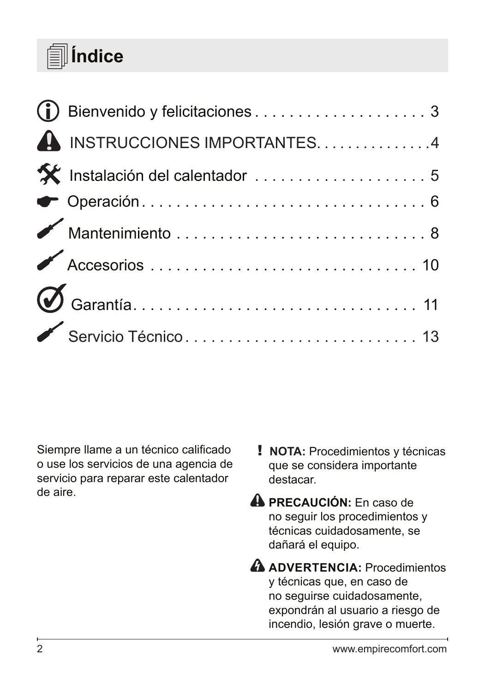# **Índice**

| A INSTRUCCIONES IMPORTANTES4                                                                                                                                                                                                                                                                                                                                                                                                                                                                                |  |
|-------------------------------------------------------------------------------------------------------------------------------------------------------------------------------------------------------------------------------------------------------------------------------------------------------------------------------------------------------------------------------------------------------------------------------------------------------------------------------------------------------------|--|
| X Instalación del calentador  5                                                                                                                                                                                                                                                                                                                                                                                                                                                                             |  |
| $\begin{minipage}{.4\linewidth} \begin{tabular}{l} \hline \textbf{•} \end{tabular} \begin{tabular}{l} \textbf{0} \end{tabular} \begin{tabular}{l} \textbf{0} \end{tabular} \begin{tabular}{l} \textbf{0} \end{tabular} \begin{tabular}{l} \textbf{0} \end{tabular} \begin{tabular}{l} \textbf{0} \end{tabular} \end{minipage} \begin{tabular}{l} \textbf{0} \end{tabular} \end{minipage} \begin{tabular}{l} \textbf{0} \end{tabular} \begin{tabular}{l} \textbf{0} \end{tabular} \end{minipage} \begin{tab$ |  |
|                                                                                                                                                                                                                                                                                                                                                                                                                                                                                                             |  |
|                                                                                                                                                                                                                                                                                                                                                                                                                                                                                                             |  |
|                                                                                                                                                                                                                                                                                                                                                                                                                                                                                                             |  |
|                                                                                                                                                                                                                                                                                                                                                                                                                                                                                                             |  |

Siempre llame a un técnico calificado o use los servicios de una agencia de servicio para reparar este calentador de aire.

- ! **NOTA:** Procedimientos y técnicas que se considera importante destacar.
- **A PRECAUCIÓN:** En caso de no seguir los procedimientos y técnicas cuidadosamente, se dañará el equipo.
- **ADVERTENCIA:** Procedimientos y técnicas que, en caso de no seguirse cuidadosamente, expondrán al usuario a riesgo de incendio, lesión grave o muerte.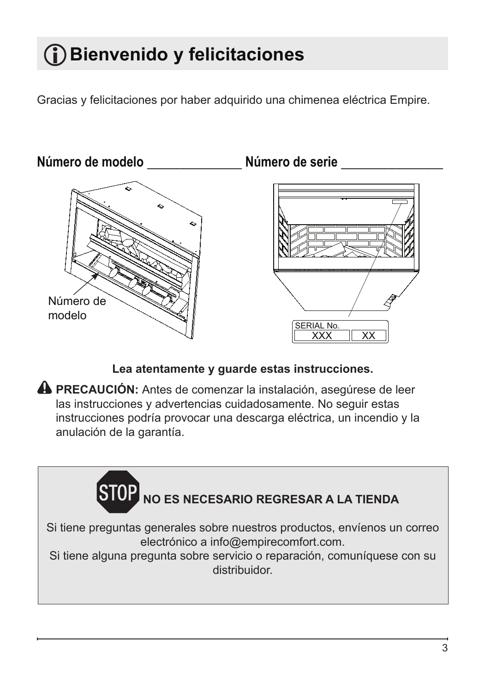# <span id="page-15-0"></span>**Bienvenido y felicitaciones**

Gracias y felicitaciones por haber adquirido una chimenea eléctrica Empire.



**Lea atentamente y guarde estas instrucciones.**

**PRECAUCIÓN:** Antes de comenzar la instalación, asegúrese de leer las instrucciones y advertencias cuidadosamente. No seguir estas instrucciones podría provocar una descarga eléctrica, un incendio y la anulación de la garantía.

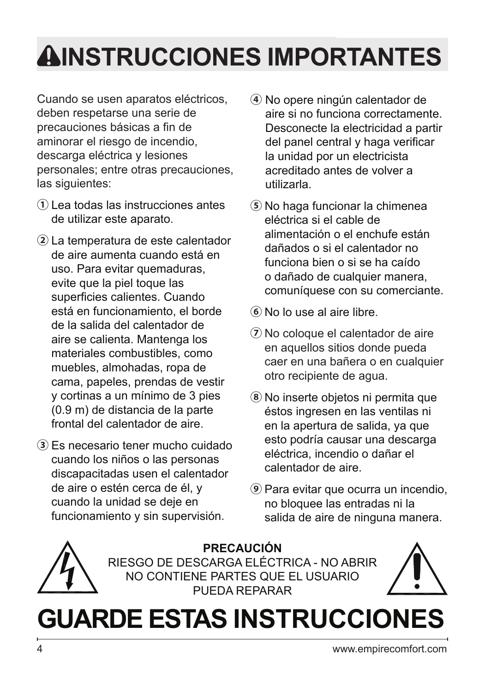# <span id="page-16-0"></span>**INSTRUCCIONES IMPORTANTES**

Cuando se usen aparatos eléctricos, deben respetarse una serie de precauciones básicas a fin de aminorar el riesgo de incendio, descarga eléctrica y lesiones personales; entre otras precauciones, las siguientes:

- **①** Lea todas las instrucciones antes de utilizar este aparato.
- **②** La temperatura de este calentador de aire aumenta cuando está en uso. Para evitar quemaduras, evite que la piel toque las superficies calientes. Cuando está en funcionamiento, el borde de la salida del calentador de aire se calienta. Mantenga los materiales combustibles, como muebles, almohadas, ropa de cama, papeles, prendas de vestir y cortinas a un mínimo de 3 pies (0.9 m) de distancia de la parte frontal del calentador de aire.
- **③** Es necesario tener mucho cuidado cuando los niños o las personas discapacitadas usen el calentador de aire o estén cerca de él, y cuando la unidad se deje en funcionamiento y sin supervisión.
- **④** No opere ningún calentador de aire si no funciona correctamente. Desconecte la electricidad a partir del panel central y haga verificar la unidad por un electricista acreditado antes de volver a utilizarla.
- **⑤** No haga funcionar la chimenea eléctrica si el cable de alimentación o el enchufe están dañados o si el calentador no funciona bien o si se ha caído o dañado de cualquier manera, comuníquese con su comerciante.
- **⑥** No lo use al aire libre.
- **⑦** No coloque el calentador de aire en aquellos sitios donde pueda caer en una bañera o en cualquier otro recipiente de agua.
- **⑧** No inserte objetos ni permita que éstos ingresen en las ventilas ni en la apertura de salida, ya que esto podría causar una descarga eléctrica, incendio o dañar el calentador de aire.
- **⑨** Para evitar que ocurra un incendio, no bloquee las entradas ni la salida de aire de ninguna manera.



**PRECAUCIÓN** RIESGO DE DESCARGA ELÉCTRICA - NO ABRIR NO CONTIENE PARTES QUE EL USUARIO PUEDA REPARAR



# **GUARDE ESTAS INSTRUCCIONES**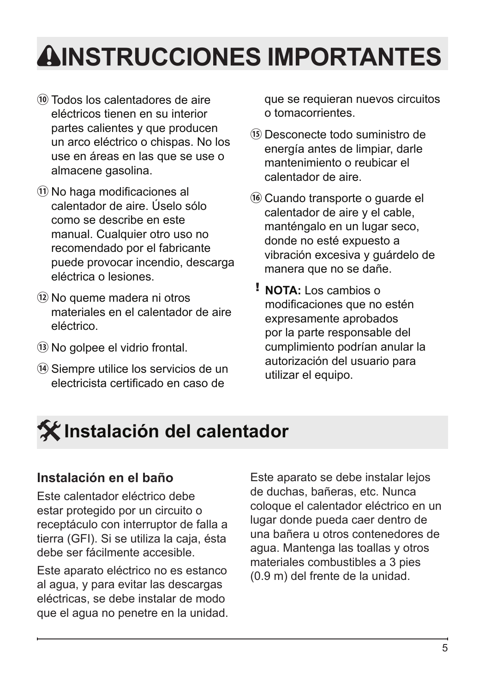# <span id="page-17-0"></span>**INSTRUCCIONES IMPORTANTES**

- **⑩** Todos los calentadores de aire eléctricos tienen en su interior partes calientes y que producen un arco eléctrico o chispas. No los use en áreas en las que se use o almacene gasolina.
- **⑪** No haga modificaciones al calentador de aire. Úselo sólo como se describe en este manual. Cualquier otro uso no recomendado por el fabricante puede provocar incendio, descarga eléctrica o lesiones.
- **⑫** No queme madera ni otros materiales en el calentador de aire eléctrico.
- **⑬** No golpee el vidrio frontal.
- **⑭** Siempre utilice los servicios de un electricista certificado en caso de

que se requieran nuevos circuitos o tomacorrientes.

- **⑮** Desconecte todo suministro de energía antes de limpiar, darle mantenimiento o reubicar el calentador de aire.
- **⑯** Cuando transporte o guarde el calentador de aire y el cable, manténgalo en un lugar seco, donde no esté expuesto a vibración excesiva y guárdelo de manera que no se dañe.
- ! **NOTA:** Los cambios o modificaciones que no estén expresamente aprobados por la parte responsable del cumplimiento podrían anular la autorización del usuario para utilizar el equipo.

# **Instalación del calentador**

### **Instalación en el baño**

Este calentador eléctrico debe estar protegido por un circuito o receptáculo con interruptor de falla a tierra (GFI). Si se utiliza la caja, ésta debe ser fácilmente accesible.

Este aparato eléctrico no es estanco al agua, y para evitar las descargas eléctricas, se debe instalar de modo que el agua no penetre en la unidad. Este aparato se debe instalar lejos de duchas, bañeras, etc. Nunca coloque el calentador eléctrico en un lugar donde pueda caer dentro de una bañera u otros contenedores de agua. Mantenga las toallas y otros materiales combustibles a 3 pies (0.9 m) del frente de la unidad.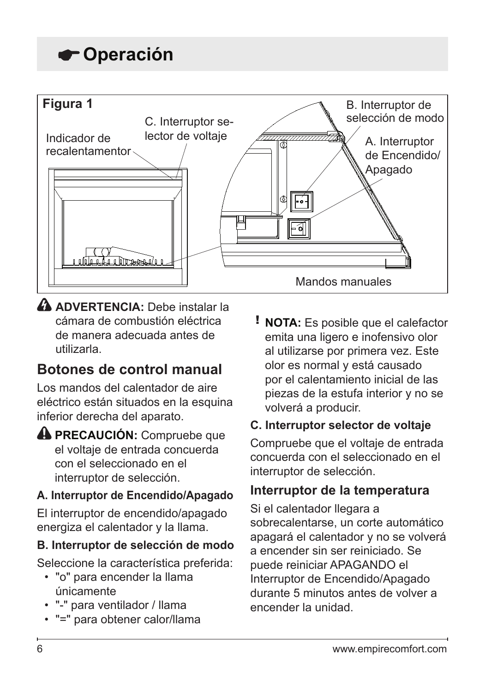# <span id="page-18-0"></span>**Operación**



 **ADVERTENCIA:** Debe instalar la cámara de combustión eléctrica de manera adecuada antes de utilizarla.

## **Botones de control manual**

Los mandos del calentador de aire eléctrico están situados en la esquina inferior derecha del aparato.

### **PRECAUCIÓN:** Compruebe que el voltaje de entrada concuerda con el seleccionado en el interruptor de selección.

### **A. Interruptor de Encendido/Apagado**

El interruptor de encendido/apagado energiza el calentador y la llama.

### **B. Interruptor de selección de modo**

Seleccione la característica preferida:

- "o" para encender la llama únicamente
- "-" para ventilador / llama
- "=" para obtener calor/llama

! **NOTA:** Es posible que el calefactor emita una ligero e inofensivo olor al utilizarse por primera vez. Este olor es normal y está causado por el calentamiento inicial de las piezas de la estufa interior y no se volverá a producir.

### **C. Interruptor selector de voltaje**

Compruebe que el voltaje de entrada concuerda con el seleccionado en el interruptor de selección.

### **Interruptor de la temperatura**

Si el calentador llegara a sobrecalentarse, un corte automático apagará el calentador y no se volverá a encender sin ser reiniciado. Se puede reiniciar APAGANDO el Interruptor de Encendido/Apagado durante 5 minutos antes de volver a encender la unidad.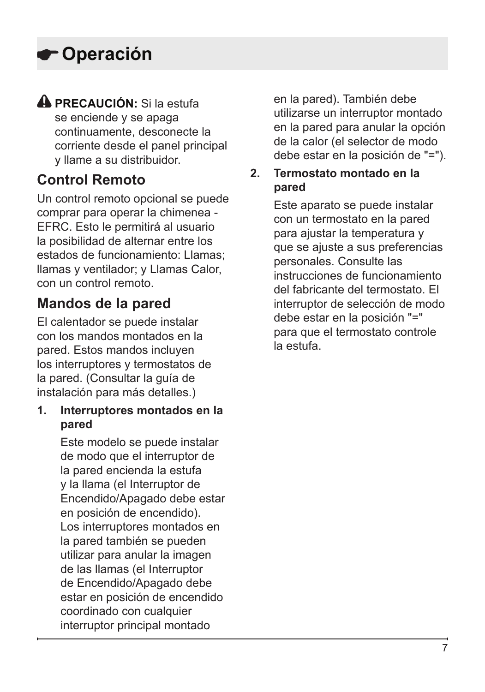# **Operación**

# **PRECAUCIÓN:** Si la estufa

se enciende y se apaga continuamente, desconecte la corriente desde el panel principal y llame a su distribuidor.

## **Control Remoto**

Un control remoto opcional se puede comprar para operar la chimenea - EFRC. Esto le permitirá al usuario la posibilidad de alternar entre los estados de funcionamiento: Llamas; llamas y ventilador; y Llamas Calor, con un control remoto.

## **Mandos de la pared**

El calentador se puede instalar con los mandos montados en la pared. Estos mandos incluyen los interruptores y termostatos de la pared. (Consultar la guía de instalación para más detalles.)

### **1. Interruptores montados en la pared**

Este modelo se puede instalar de modo que el interruptor de la pared encienda la estufa y la llama (el Interruptor de Encendido/Apagado debe estar en posición de encendido). Los interruptores montados en la pared también se pueden utilizar para anular la imagen de las llamas (el Interruptor de Encendido/Apagado debe estar en posición de encendido coordinado con cualquier interruptor principal montado

en la pared). También debe utilizarse un interruptor montado en la pared para anular la opción de la calor (el selector de modo debe estar en la posición de "=").

### **2. Termostato montado en la pared**

Este aparato se puede instalar con un termostato en la pared para ajustar la temperatura y que se ajuste a sus preferencias personales. Consulte las instrucciones de funcionamiento del fabricante del termostato. El interruptor de selección de modo debe estar en la posición "=" para que el termostato controle la estufa.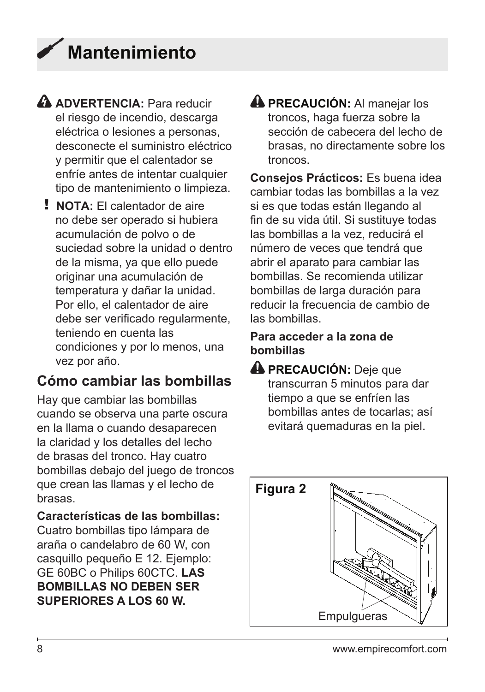# <span id="page-20-0"></span>**Mantenimiento**

- **A** ADVERTENCIA: Para reducir el riesgo de incendio, descarga eléctrica o lesiones a personas, desconecte el suministro eléctrico y permitir que el calentador se enfríe antes de intentar cualquier tipo de mantenimiento o limpieza.
	- ! **NOTA:** El calentador de aire no debe ser operado si hubiera acumulación de polvo o de suciedad sobre la unidad o dentro de la misma, ya que ello puede originar una acumulación de temperatura y dañar la unidad. Por ello, el calentador de aire debe ser verificado regularmente, teniendo en cuenta las condiciones y por lo menos, una vez por año.

## **Cómo cambiar las bombillas**

Hay que cambiar las bombillas cuando se observa una parte oscura en la llama o cuando desaparecen la claridad y los detalles del lecho de brasas del tronco. Hay cuatro bombillas debajo del juego de troncos que crean las llamas y el lecho de brasas.

### **Características de las bombillas:**

Cuatro bombillas tipo lámpara de araña o candelabro de 60 W, con casquillo pequeño E 12. Ejemplo: GE 60BC o Philips 60CTC. **LAS BOMBILLAS NO DEBEN SER SUPERIORES A LOS 60 W.**

**A PRECAUCIÓN:** Al manejar los troncos, haga fuerza sobre la sección de cabecera del lecho de brasas, no directamente sobre los troncos.

**Consejos Prácticos:** Es buena idea cambiar todas las bombillas a la vez si es que todas están llegando al fin de su vida útil. Si sustituye todas las bombillas a la vez, reducirá el número de veces que tendrá que abrir el aparato para cambiar las bombillas. Se recomienda utilizar bombillas de larga duración para reducir la frecuencia de cambio de las bombillas.

### **Para acceder a la zona de bombillas**

**PRECAUCIÓN:** Deje que transcurran 5 minutos para dar tiempo a que se enfríen las bombillas antes de tocarlas; así evitará quemaduras en la piel.

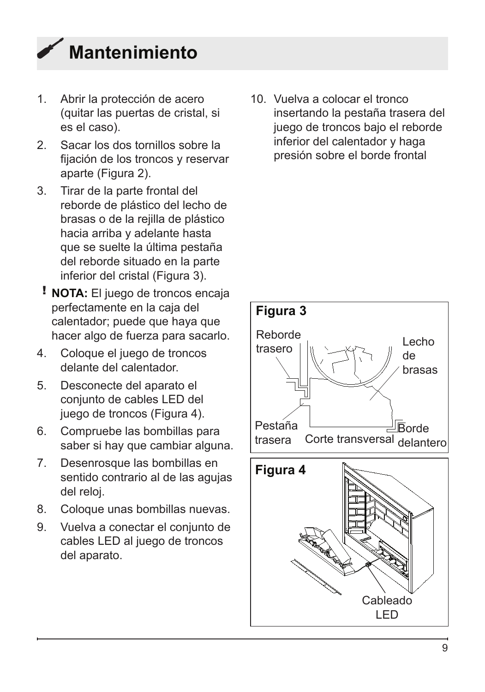

- 1. Abrir la protección de acero (quitar las puertas de cristal, si es el caso).
- 2. Sacar los dos tornillos sobre la fijación de los troncos y reservar aparte (Figura 2).
- 3. Tirar de la parte frontal del reborde de plástico del lecho de brasas o de la rejilla de plástico hacia arriba y adelante hasta que se suelte la última pestaña del reborde situado en la parte inferior del cristal (Figura 3).
- ! **NOTA:** El juego de troncos encaja perfectamente en la caja del calentador; puede que haya que hacer algo de fuerza para sacarlo.
- 4. Coloque el juego de troncos delante del calentador.
- 5. Desconecte del aparato el conjunto de cables LED del juego de troncos (Figura 4).
- 6. Compruebe las bombillas para saber si hay que cambiar alguna.
- 7. Desenrosque las bombillas en sentido contrario al de las agujas del reloj.
- 8. Coloque unas bombillas nuevas.
- 9. Vuelva a conectar el conjunto de cables LED al juego de troncos del aparato.

10. Vuelva a colocar el tronco insertando la pestaña trasera del juego de troncos bajo el reborde inferior del calentador y haga presión sobre el borde frontal

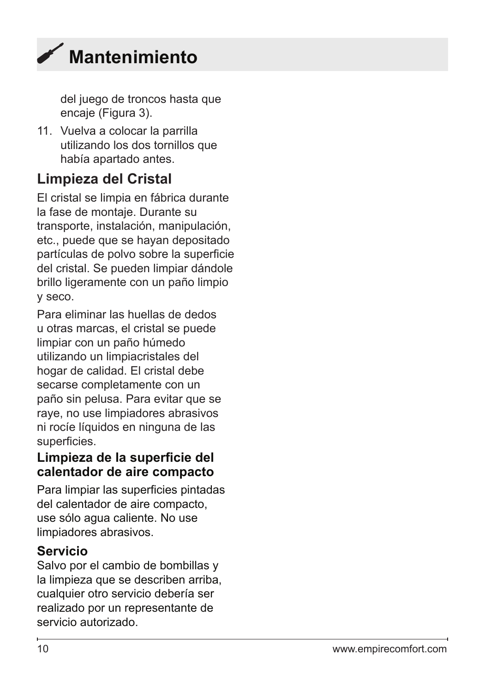<span id="page-22-0"></span>

del juego de troncos hasta que encaje (Figura 3).

11. Vuelva a colocar la parrilla utilizando los dos tornillos que había apartado antes.

## **Limpieza del Cristal**

El cristal se limpia en fábrica durante la fase de montaje. Durante su transporte, instalación, manipulación, etc., puede que se hayan depositado partículas de polvo sobre la superficie del cristal. Se pueden limpiar dándole brillo ligeramente con un paño limpio y seco.

Para eliminar las huellas de dedos u otras marcas, el cristal se puede limpiar con un paño húmedo utilizando un limpiacristales del hogar de calidad. El cristal debe secarse completamente con un paño sin pelusa. Para evitar que se raye, no use limpiadores abrasivos ni rocíe líquidos en ninguna de las superficies.

### **Limpieza de la superficie del calentador de aire compacto**

Para limpiar las superficies pintadas del calentador de aire compacto, use sólo agua caliente. No use limpiadores abrasivos.

### **Servicio**

Salvo por el cambio de bombillas y la limpieza que se describen arriba, cualquier otro servicio debería ser realizado por un representante de servicio autorizado.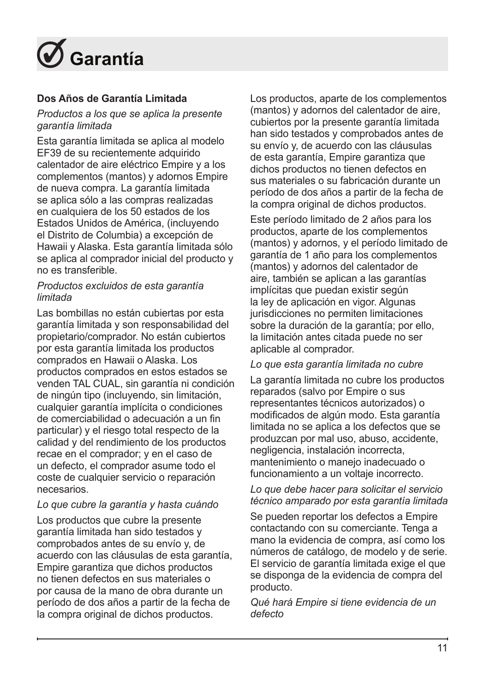<span id="page-23-0"></span>

### **Dos Años de Garantía Limitada**

### *Productos a los que se aplica la presente garantía limitada*

Esta garantía limitada se aplica al modelo EF39 de su recientemente adquirido calentador de aire eléctrico Empire y a los complementos (mantos) y adornos Empire de nueva compra. La garantía limitada se aplica sólo a las compras realizadas en cualquiera de los 50 estados de los Estados Unidos de América, (incluyendo el Distrito de Columbia) a excepción de Hawaii y Alaska. Esta garantía limitada sólo se aplica al comprador inicial del producto y no es transferible.

### *Productos excluidos de esta garantía limitada*

Las bombillas no están cubiertas por esta garantía limitada y son responsabilidad del propietario/comprador. No están cubiertos por esta garantía limitada los productos comprados en Hawaii o Alaska. Los productos comprados en estos estados se venden TAL CUAL, sin garantía ni condición de ningún tipo (incluyendo, sin limitación, cualquier garantía implícita o condiciones de comerciabilidad o adecuación a un fin particular) y el riesgo total respecto de la calidad y del rendimiento de los productos recae en el comprador; y en el caso de un defecto, el comprador asume todo el coste de cualquier servicio o reparación necesarios.

### *Lo que cubre la garantía y hasta cuándo*

Los productos que cubre la presente garantía limitada han sido testados y comprobados antes de su envío y, de acuerdo con las cláusulas de esta garantía, Empire garantiza que dichos productos no tienen defectos en sus materiales o por causa de la mano de obra durante un período de dos años a partir de la fecha de la compra original de dichos productos.

Los productos, aparte de los complementos (mantos) y adornos del calentador de aire, cubiertos por la presente garantía limitada han sido testados y comprobados antes de su envío y, de acuerdo con las cláusulas de esta garantía, Empire garantiza que dichos productos no tienen defectos en sus materiales o su fabricación durante un período de dos años a partir de la fecha de la compra original de dichos productos.

Este período limitado de 2 años para los productos, aparte de los complementos (mantos) y adornos, y el período limitado de garantía de 1 año para los complementos (mantos) y adornos del calentador de aire, también se aplican a las garantías implícitas que puedan existir según la ley de aplicación en vigor. Algunas jurisdicciones no permiten limitaciones sobre la duración de la garantía; por ello, la limitación antes citada puede no ser aplicable al comprador.

#### *Lo que esta garantía limitada no cubre*

La garantía limitada no cubre los productos reparados (salvo por Empire o sus representantes técnicos autorizados) o modificados de algún modo. Esta garantía limitada no se aplica a los defectos que se produzcan por mal uso, abuso, accidente, negligencia, instalación incorrecta, mantenimiento o manejo inadecuado o funcionamiento a un voltaje incorrecto.

### *Lo que debe hacer para solicitar el servicio técnico amparado por esta garantía limitada*

Se pueden reportar los defectos a Empire contactando con su comerciante. Tenga a mano la evidencia de compra, así como los números de catálogo, de modelo y de serie. El servicio de garantía limitada exige el que se disponga de la evidencia de compra del producto.

*Qué hará Empire si tiene evidencia de un defecto*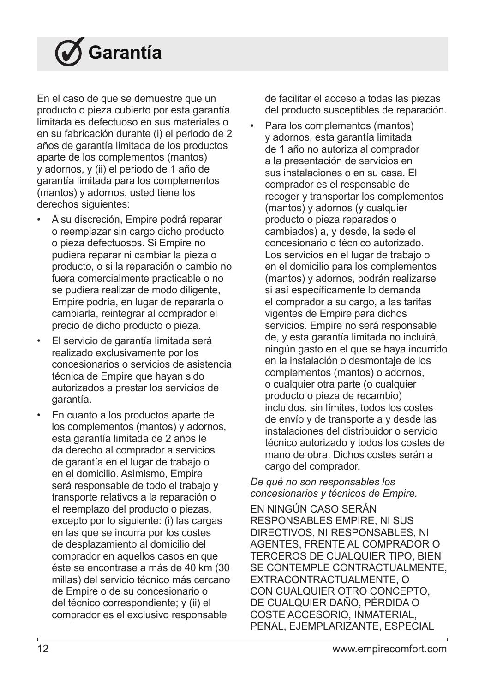# **Garantía**

En el caso de que se demuestre que un producto o pieza cubierto por esta garantía limitada es defectuoso en sus materiales o en su fabricación durante (i) el periodo de 2 años de garantía limitada de los productos aparte de los complementos (mantos) y adornos, y (ii) el periodo de 1 año de garantía limitada para los complementos (mantos) y adornos, usted tiene los derechos siguientes:

- A su discreción, Empire podrá reparar o reemplazar sin cargo dicho producto o pieza defectuosos. Si Empire no pudiera reparar ni cambiar la pieza o producto, o si la reparación o cambio no fuera comercialmente practicable o no se pudiera realizar de modo diligente, Empire podría, en lugar de repararla o cambiarla, reintegrar al comprador el precio de dicho producto o pieza.
- El servicio de garantía limitada será realizado exclusivamente por los concesionarios o servicios de asistencia técnica de Empire que hayan sido autorizados a prestar los servicios de garantía.
- En cuanto a los productos aparte de los complementos (mantos) y adornos, esta garantía limitada de 2 años le da derecho al comprador a servicios de garantía en el lugar de trabajo o en el domicilio. Asimismo, Empire será responsable de todo el trabajo y transporte relativos a la reparación o el reemplazo del producto o piezas, excepto por lo siguiente: (i) las cargas en las que se incurra por los costes de desplazamiento al domicilio del comprador en aquellos casos en que éste se encontrase a más de 40 km (30 millas) del servicio técnico más cercano de Empire o de su concesionario o del técnico correspondiente; y (ii) el comprador es el exclusivo responsable

de facilitar el acceso a todas las piezas del producto susceptibles de reparación.

Para los complementos (mantos) y adornos, esta garantía limitada de 1 año no autoriza al comprador a la presentación de servicios en sus instalaciones o en su casa. El comprador es el responsable de recoger y transportar los complementos (mantos) y adornos (y cualquier producto o pieza reparados o cambiados) a, y desde, la sede el concesionario o técnico autorizado. Los servicios en el lugar de trabajo o en el domicilio para los complementos (mantos) y adornos, podrán realizarse si así específicamente lo demanda el comprador a su cargo, a las tarifas vigentes de Empire para dichos servicios. Empire no será responsable de, y esta garantía limitada no incluirá, ningún gasto en el que se haya incurrido en la instalación o desmontaje de los complementos (mantos) o adornos, o cualquier otra parte (o cualquier producto o pieza de recambio) incluidos, sin límites, todos los costes de envío y de transporte a y desde las instalaciones del distribuidor o servicio técnico autorizado y todos los costes de mano de obra. Dichos costes serán a cargo del comprador.

### *De qué no son responsables los concesionarios y técnicos de Empire.*

EN NINGÚN CASO SERÁN RESPONSABLES EMPIRE, NI SUS DIRECTIVOS, NI RESPONSABLES, NI AGENTES, FRENTE AL COMPRADOR O TERCEROS DE CUALQUIER TIPO, BIEN SE CONTEMPLE CONTRACTUALMENTE, EXTRACONTRACTUALMENTE, O CON CUALQUIER OTRO CONCEPTO, DE CUALQUIER DAÑO, PÉRDIDA O COSTE ACCESORIO, INMATERIAL, PENAL, EJEMPLARIZANTE, ESPECIAL